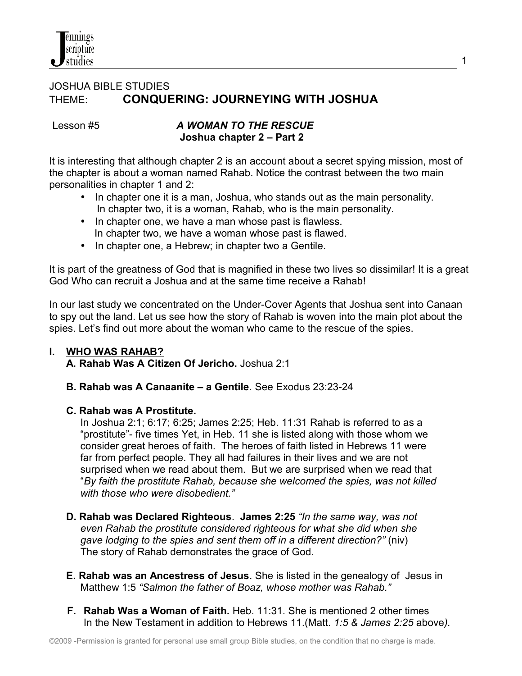

### JOSHUA BIBLE STUDIES THEME: **CONQUERING: JOURNEYING WITH JOSHUA**

#### Lesson #5*A WOMAN TO THE RESCUE* **Joshua chapter 2 – Part 2**

It is interesting that although chapter 2 is an account about a secret spying mission, most of the chapter is about a woman named Rahab. Notice the contrast between the two main personalities in chapter 1 and 2:

1

- In chapter one it is a man, Joshua, who stands out as the main personality. In chapter two, it is a woman, Rahab, who is the main personality.
- In chapter one, we have a man whose past is flawless. In chapter two, we have a woman whose past is flawed.
- In chapter one, a Hebrew; in chapter two a Gentile.

It is part of the greatness of God that is magnified in these two lives so dissimilar! It is a great God Who can recruit a Joshua and at the same time receive a Rahab!

In our last study we concentrated on the Under-Cover Agents that Joshua sent into Canaan to spy out the land. Let us see how the story of Rahab is woven into the main plot about the spies. Let's find out more about the woman who came to the rescue of the spies.

### **I. WHO WAS RAHAB?**

 **A. Rahab Was A Citizen Of Jericho.** Joshua 2:1

**B. Rahab was A Canaanite – a Gentile**. See Exodus 23:23-24

### **C. Rahab was A Prostitute.**

 In Joshua 2:1; 6:17; 6:25; James 2:25; Heb. 11:31 Rahab is referred to as a "prostitute"- five times Yet, in Heb. 11 she is listed along with those whom we consider great heroes of faith. The heroes of faith listed in Hebrews 11 were far from perfect people. They all had failures in their lives and we are not surprised when we read about them. But we are surprised when we read that "*By faith the prostitute Rahab, because she welcomed the spies, was not killed with those who were disobedient."*

- **D. Rahab was Declared Righteous**. **James 2:25** *"In the same way, was not even Rahab the prostitute considered righteous for what she did when she gave lodging to the spies and sent them off in a different direction?"* (niv) The story of Rahab demonstrates the grace of God.
- **E. Rahab was an Ancestress of Jesus**. She is listed in the genealogy of Jesus in Matthew 1:5 *"Salmon the father of Boaz, whose mother was Rahab."*
- **F. Rahab Was a Woman of Faith.** Heb. 11:31. She is mentioned 2 other times In the New Testament in addition to Hebrews 11.(Matt. *1:5 & James 2:25* above*).*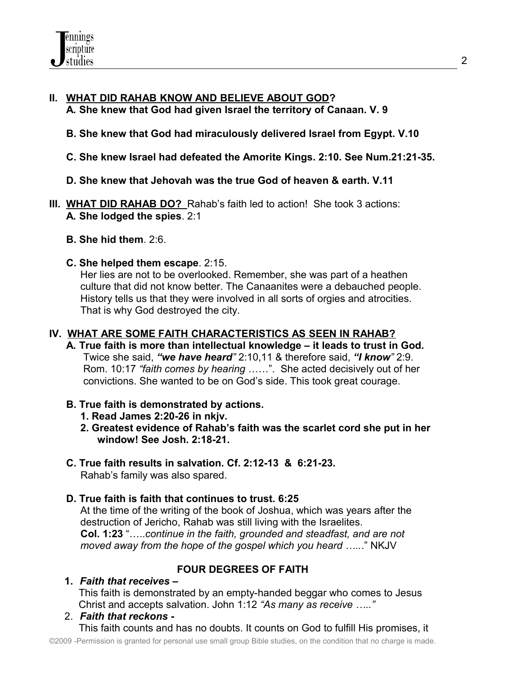### **II. WHAT DID RAHAB KNOW AND BELIEVE ABOUT GOD? A. She knew that God had given Israel the territory of Canaan. V. 9**

### **B. She knew that God had miraculously delivered Israel from Egypt. V.10**

- **C. She knew Israel had defeated the Amorite Kings. 2:10. See Num.21:21-35.**
- **D. She knew that Jehovah was the true God of heaven & earth. V.11**
- **III. WHAT DID RAHAB DO?** Rahab's faith led to action! She took 3 actions: **A. She lodged the spies**. 2:1
	- **B. She hid them**. 2:6.
	- **C. She helped them escape**. 2:15.

 Her lies are not to be overlooked. Remember, she was part of a heathen culture that did not know better. The Canaanites were a debauched people. History tells us that they were involved in all sorts of orgies and atrocities. That is why God destroyed the city.

#### **IV. WHAT ARE SOME FAITH CHARACTERISTICS AS SEEN IN RAHAB?**

- **A. True faith is more than intellectual knowledge it leads to trust in God.** Twice she said, *"we have heard"* 2:10,11 & therefore said, *"I know"* 2:9. Rom. 10:17 *"faith comes by hearing* ……". She acted decisively out of her convictions. She wanted to be on God's side. This took great courage.
- **B. True faith is demonstrated by actions.** 
	- **1. Read James 2:20-26 in nkjv.**
	- **2. Greatest evidence of Rahab's faith was the scarlet cord she put in her window! See Josh. 2:18-21.**
- **C. True faith results in salvation. Cf. 2:12-13 & 6:21-23.** Rahab's family was also spared.

### **D. True faith is faith that continues to trust. 6:25**

 At the time of the writing of the book of Joshua, which was years after the destruction of Jericho, Rahab was still living with the Israelites. **Col. 1:23** "…..*continue in the faith, grounded and steadfast, and are not moved away from the hope of the gospel which you heard …..*." NKJV

# **FOUR DEGREES OF FAITH**

**1.** *Faith that receives –* This faith is demonstrated by an empty-handed beggar who comes to Jesus Christ and accepts salvation. John 1:12 *"As many as receive ….."*

2. *Faith that reckons* **-**  This faith counts and has no doubts. It counts on God to fulfill His promises, it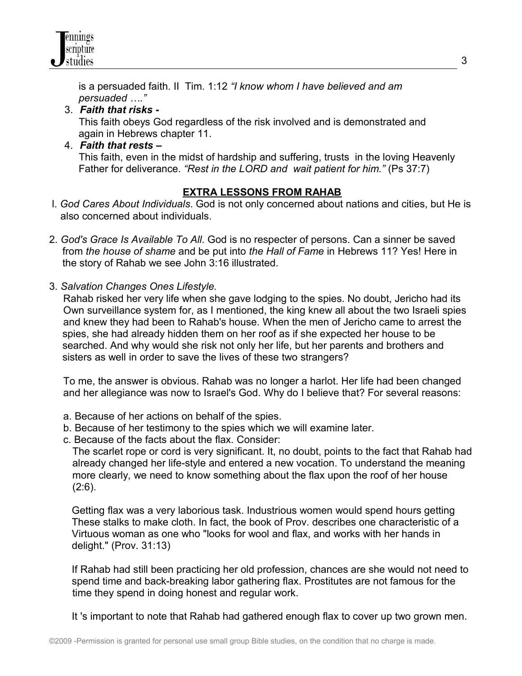is a persuaded faith. II Tim. 1:12 *"I know whom I have believed and am persuaded …."*

## 3. *Faith that risks* **-**

This faith obeys God regardless of the risk involved and is demonstrated and again in Hebrews chapter 11.

### 4. *Faith that rests* **–**

This faith, even in the midst of hardship and suffering, trusts in the loving Heavenly Father for deliverance. *"Rest in the LORD and wait patient for him."* (Ps 37:7)

# **EXTRA LESSONS FROM RAHAB**

- l. *God Cares About Individuals*. God is not only concerned about nations and cities, but He is also concerned about individuals.
- 2. *God's Grace Is Available To All*. God is no respecter of persons. Can a sinner be saved from *the house of shame* and be put into *the Hall of Fame* in Hebrews 11? Yes! Here in the story of Rahab we see John 3:16 illustrated.
- 3. *Salvation Changes Ones Lifestyle.*

 Rahab risked her very life when she gave lodging to the spies. No doubt, Jericho had its Own surveillance system for, as I mentioned, the king knew all about the two Israeli spies and knew they had been to Rahab's house. When the men of Jericho came to arrest the spies, she had already hidden them on her roof as if she expected her house to be searched. And why would she risk not only her life, but her parents and brothers and sisters as well in order to save the lives of these two strangers?

 To me, the answer is obvious. Rahab was no longer a harlot. Her life had been changed and her allegiance was now to Israel's God. Why do I believe that? For several reasons:

- a. Because of her actions on behalf of the spies.
- b. Because of her testimony to the spies which we will examine later.
- c. Because of the facts about the flax. Consider:

The scarlet rope or cord is very significant. It, no doubt, points to the fact that Rahab had already changed her life-style and entered a new vocation. To understand the meaning more clearly, we need to know something about the flax upon the roof of her house  $(2:6)$ .

 Getting flax was a very laborious task. Industrious women would spend hours getting These stalks to make cloth. In fact, the book of Prov. describes one characteristic of a Virtuous woman as one who "looks for wool and flax, and works with her hands in delight." (Prov. 31:13)

 If Rahab had still been practicing her old profession, chances are she would not need to spend time and back-breaking labor gathering flax. Prostitutes are not famous for the time they spend in doing honest and regular work.

It 's important to note that Rahab had gathered enough flax to cover up two grown men.